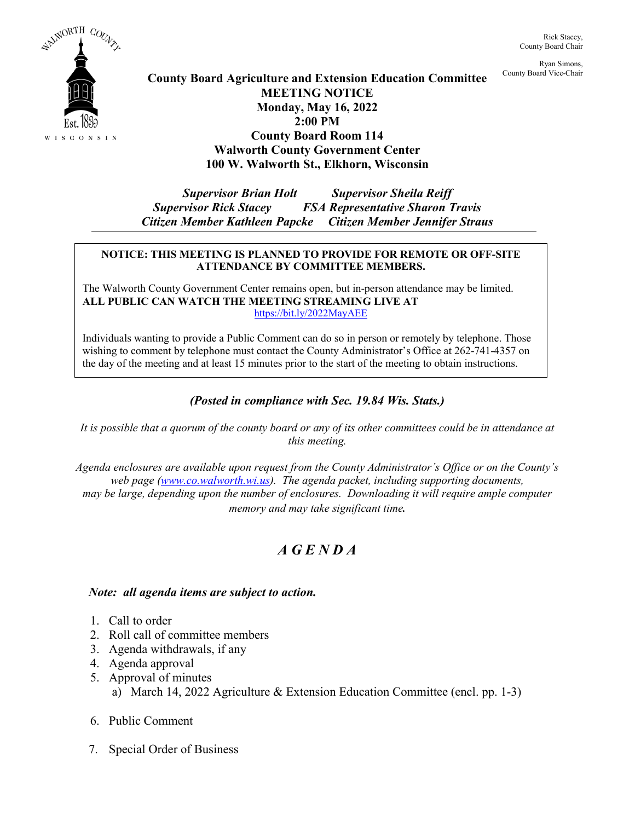

Rick Stacey, County Board Chair

Ryan Simons,<br>County Board Vice-Chair

## **County Board Agriculture and Extension Education Committee MEETING NOTICE Monday, May 16, 2022 2:00 PM County Board Room 114 Walworth County Government Center 100 W. Walworth St., Elkhorn, Wisconsin**

*Supervisor Brian Holt Supervisor Sheila Reiff Supervisor Rick Stacey FSA Representative Sharon Travis Citizen Member Kathleen Papcke Citizen Member Jennifer Straus*

#### **NOTICE: THIS MEETING IS PLANNED TO PROVIDE FOR REMOTE OR OFF-SITE ATTENDANCE BY COMMITTEE MEMBERS.**

The Walworth County Government Center remains open, but in-person attendance may be limited. **ALL PUBLIC CAN WATCH THE MEETING STREAMING LIVE AT** <https://bit.ly/2022MayAEE>

Individuals wanting to provide a Public Comment can do so in person or remotely by telephone. Those wishing to comment by telephone must contact the County Administrator's Office at 262-741-4357 on the day of the meeting and at least 15 minutes prior to the start of the meeting to obtain instructions.

### *(Posted in compliance with Sec. 19.84 Wis. Stats.)*

*It is possible that a quorum of the county board or any of its other committees could be in attendance at this meeting.*

*Agenda enclosures are available upon request from the County Administrator's Office or on the County's web page [\(www.co.walworth.wi.us\)](http://www.co.walworth.wi.us/). The agenda packet, including supporting documents, may be large, depending upon the number of enclosures. Downloading it will require ample computer memory and may take significant time.*

# *A G E N D A*

### *Note: all agenda items are subject to action.*

- 1. Call to order
- 2. Roll call of committee members
- 3. Agenda withdrawals, if any
- 4. Agenda approval
- 5. Approval of minutes a) March 14, 2022 Agriculture & Extension Education Committee (encl. pp. 1-3)
- 6. Public Comment
- 7. Special Order of Business